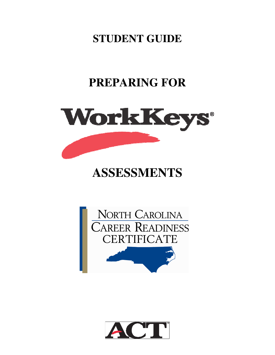**STUDENT GUIDE** 

# **PREPARING FOR**



# **ASSESSMENTS**



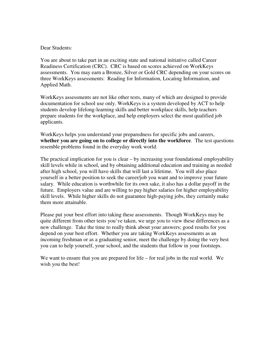### Dear Students:

You are about to take part in an exciting state and national initiative called Career Readiness Certification (CRC). CRC is based on scores achieved on WorkKeys assessments. You may earn a Bronze, Silver or Gold CRC depending on your scores on three WorkKeys assessments: Reading for Information, Locating Information, and Applied Math.

WorkKeys assessments are not like other tests, many of which are designed to provide documentation for school use only. WorkKeys is a system developed by ACT to help students develop lifelong-learning skills and better workplace skills, help teachers prepare students for the workplace, and help employers select the most qualified job applicants.

WorkKeys helps you understand your preparedness for specific jobs and careers, **whether you are going on to college or directly into the workforce**. The test questions resemble problems found in the everyday work world.

The practical implication for you is clear – by increasing your foundational employability skill levels while in school, and by obtaining additional education and training as needed after high school, you will have skills that will last a lifetime. You will also place yourself in a better position to seek the career/job you want and to improve your future salary. While education is worthwhile for its own sake, it also has a dollar payoff in the future. Employers value and are willing to pay higher salaries for higher employability skill levels. While higher skills do not guarantee high-paying jobs, they certainly make them more attainable.

Please put your best effort into taking these assessments. Though WorkKeys may be quite different from other tests you've taken, we urge you to view these differences as a new challenge. Take the time to really think about your answers; good results for you depend on your best effort. Whether you are taking WorkKeys assessments as an incoming freshman or as a graduating senior, meet the challenge by doing the very best you can to help yourself, your school, and the students that follow in your footsteps.

We want to ensure that you are prepared for life – for real jobs in the real world. We wish you the best!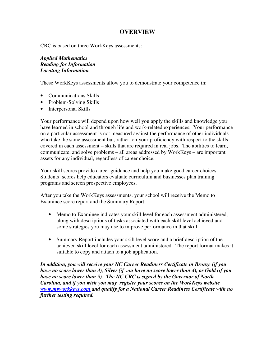# **OVERVIEW**

CRC is based on three WorkKeys assessments:

*Applied Mathematics Reading for Information Locating Information*

These WorkKeys assessments allow you to demonstrate your competence in:

- Communications Skills
- Problem-Solving Skills
- Interpersonal Skills

Your performance will depend upon how well you apply the skills and knowledge you have learned in school and through life and work-related experiences. Your performance on a particular assessment is not measured against the performance of other individuals who take the same assessment but, rather, on your proficiency with respect to the skills covered in each assessment – skills that are required in real jobs. The abilities to learn, communicate, and solve problems – all areas addressed by WorkKeys – are important assets for any individual, regardless of career choice.

Your skill scores provide career guidance and help you make good career choices. Students' scores help educators evaluate curriculum and businesses plan training programs and screen prospective employees.

After you take the WorkKeys assessments, your school will receive the Memo to Examinee score report and the Summary Report:

- Memo to Examinee indicates your skill level for each assessment administered, along with descriptions of tasks associated with each skill level achieved and some strategies you may use to improve performance in that skill.
- Summary Report includes your skill level score and a brief description of the achieved skill level for each assessment administered. The report format makes it suitable to copy and attach to a job application.

*In addition, you will receive your NC Career Readiness Certificate in Bronze (if you have no score lower than 3), Silver (if you have no score lower than 4), or Gold (if you have no score lower than 5). The NC CRC is signed by the Governor of North Carolina, and if you wish you may register your scores on the WorkKeys website www.myworkkeys.com and qualify for a National Career Readiness Certificate with no further testing required.*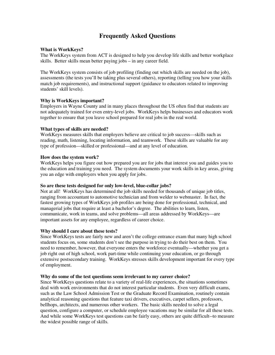# **Frequently Asked Questions**

#### **What is WorkKeys?**

The WorkKeys system from ACT is designed to help you develop life skills and better workplace skills. Better skills mean better paying jobs – in any career field.

The WorkKeys system consists of job profiling (finding out which skills are needed on the job), assessments (the tests you'll be taking plus several others), reporting (telling you how your skills match job requirements), and instructional support (guidance to educators related to improving students' skill levels).

#### **Why is WorkKeys important?**

Employers in Wayne County and in many places throughout the US often find that students are not adequately trained for even entry-level jobs. WorkKeys helps businesses and educators work together to ensure that you leave school prepared for real jobs in the real world.

#### **What types of skills are needed?**

WorkKeys measures skills that employers believe are critical to job success—skills such as reading, math, listening, locating information, and teamwork. These skills are valuable for any type of profession—skilled or professional—and at any level of education.

#### **How does the system work?**

WorkKeys helps you figure out how prepared you are for jobs that interest you and guides you to the education and training you need. The system documents your work skills in key areas, giving you an edge with employers when you apply for jobs.

#### **So are these tests designed for only low-level, blue-collar jobs?**

Not at all! WorkKeys has determined the job skills needed for thousands of unique job titles, ranging from accountant to automotive technician and from welder to webmaster. In fact, the fastest growing types of WorkKeys job profiles are being done for professional, technical, and managerial jobs that require at least a bachelor's degree. The abilities to learn, listen, communicate, work in teams, and solve problems—all areas addressed by WorkKeys—are important assets for any employee, regardless of career choice.

#### **Why should I care about these tests?**

Since WorkKeys tests are fairly new and aren't the college entrance exam that many high school students focus on, some students don't see the purpose in trying to do their best on them. You need to remember, however, that everyone enters the workforce eventually—whether you get a job right out of high school, work part-time while continuing your education, or go through extensive postsecondary training. WorkKeys stresses skills development important for every type of employment.

#### **Why do some of the test questions seem irrelevant to my career choice?**

Since WorkKeys questions relate to a variety of real-life experiences, the situations sometimes deal with work environments that do not interest particular students. Even very difficult exams, such as the Law School Admission Test or the Graduate Record Examination, routinely contain analytical reasoning questions that feature taxi drivers, executives, carpet sellers, professors, bellhops, architects, and numerous other workers. The basic skills needed to solve a legal question, configure a computer, or schedule employee vacations may be similar for all these tests. And while some WorkKeys test questions can be fairly easy, others are quite difficult--to measure the widest possible range of skills.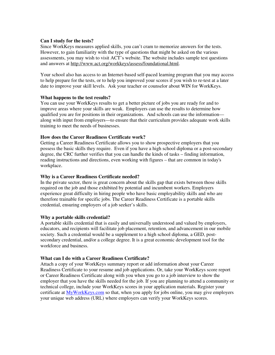#### **Can I study for the tests?**

Since WorkKeys measures applied skills, you can't cram to memorize answers for the tests. However, to gain familiarity with the type of questions that might be asked on the various assessments, you may wish to visit ACT's website. The website includes sample test questions and answers at http://www.act.org/workkeys/assess/foundational.html.

Your school also has access to an Internet-based self-paced learning program that you may access to help prepare for the tests, or to help you improved your scores if you wish to re-test at a later date to improve your skill levels. Ask your teacher or counselor about WIN for WorkKeys.

#### **What happens to the test results?**

You can use your WorkKeys results to get a better picture of jobs you are ready for and to improve areas where your skills are weak. Employers can use the results to determine how qualified you are for positions in their organizations. And schools can use the information along with input from employers—to ensure that their curriculum provides adequate work skills training to meet the needs of businesses.

#### **How does the Career Readiness Certificate work?**

Getting a Career Readiness Certificate allows you to show prospective employers that you possess the basic skills they require. Even if you have a high school diploma or a post-secondary degree, the CRC further verifies that you can handle the kinds of tasks – finding information, reading instructions and directions, even working with figures – that are common in today's workplace.

#### **Why is a Career Readiness Certificate needed?**

In the private sector, there is great concern about the skills gap that exists between those skills required on the job and those exhibited by potential and incumbent workers. Employers experience great difficulty in hiring people who have basic employability skills and who are therefore trainable for specific jobs. The Career Readiness Certificate is a portable skills credential, ensuring employers of a job seeker's skills.

#### **Why a portable skills credential?**

A portable skills credential that is easily and universally understood and valued by employers, educators, and recipients will facilitate job placement, retention, and advancement in our mobile society. Such a credential would be a supplement to a high school diploma, a GED, postsecondary credential, and/or a college degree. It is a great economic development tool for the workforce and business.

#### **What can I do with a Career Readiness Certificate?**

Attach a copy of your WorkKeys summary report or add information about your Career Readiness Certificate to your resume and job applications. Or, take your WorkKeys score report or Career Readiness Certificate along with you when you go to a job interview to show the employer that you have the skills needed for the job. If you are planning to attend a community or technical college, include your WorkKeys scores in your application materials. Register your certificate at MyWorkKeys.com so that, when you apply for jobs online, you may give employers your unique web address (URL) where employers can verify your WorkKeys scores.